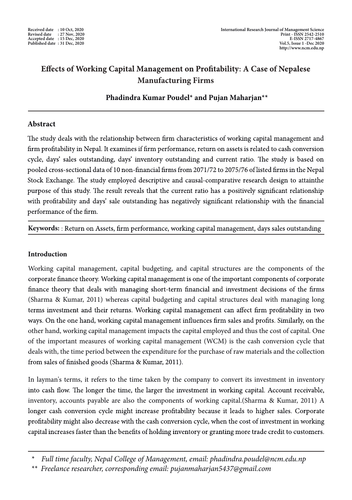# **Effects of Working Capital Management on Profitability: A Case of Nepalese Manufacturing Firms**

**Phadindra Kumar Poudel\* and Pujan Maharjan\*\***

## **Abstract**

The study deals with the relationship between firm characteristics of working capital management and firm profitability in Nepal. It examines if firm performance, return on assets is related to cash conversion cycle, days' sales outstanding, days' inventory outstanding and current ratio. The study is based on pooled cross-sectional data of 10 non-financial firms from 2071/72 to 2075/76 of listed firms in the Nepal Stock Exchange. The study employed descriptive and causal-comparative research design to attainthe purpose of this study. The result reveals that the current ratio has a positively significant relationship with profitability and days' sale outstanding has negatively significant relationship with the financial performance of the firm.

Keywords:: Return on Assets, firm performance, working capital management, days sales outstanding

# **Introduction**

Working capital management, capital budgeting, and capital structures are the components of the corporate finance theory. Working capital management is one of the important components of corporate finance theory that deals with managing short-term financial and investment decisions of the firms (Sharma & Kumar, 2011) whereas capital budgeting and capital structures deal with managing long terms investment and their returns. Working capital management can affect firm profitability in two ways. On the one hand, working capital management influences firm sales and profits. Similarly, on the other hand, working capital management impacts the capital employed and thus the cost of capital. One of the important measures of working capital management (WCM) is the cash conversion cycle that deals with, the time period between the expenditure for the purchase of raw materials and the collection from sales of finished goods (Sharma & Kumar, 2011).

In layman's terms, it refers to the time taken by the company to convert its investment in inventory into cash flow. The longer the time, the larger the investment in working capital. Account receivable, inventory, accounts payable are also the components of working capital.(Sharma & Kumar, 2011) A longer cash conversion cycle might increase profitability because it leads to higher sales. Corporate profitability might also decrease with the cash conversion cycle, when the cost of investment in working capital increases faster than the benefits of holding inventory or granting more trade credit to customers.

*<sup>\*</sup> Full time faculty, Nepal College of Management, email: phadindra.poudel@ncm.edu.np*

*<sup>\*\*</sup> Freelance researcher, corresponding email: pujanmaharjan5437@gmail.com*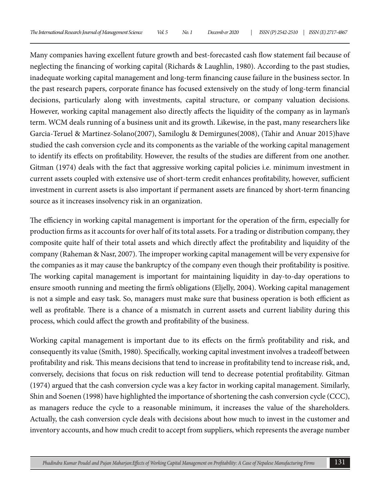Many companies having excellent future growth and best-forecasted cash flow statement fail because of neglecting the financing of working capital (Richards & Laughlin, 1980). According to the past studies, inadequate working capital management and long-term financing cause failure in the business sector. In the past research papers, corporate finance has focused extensively on the study of long-term financial decisions, particularly along with investments, capital structure, or company valuation decisions. However, working capital management also directly affects the liquidity of the company as in layman's term. WCM deals running of a business unit and its growth. Likewise, in the past, many researchers like Garcia-Teruel & Martinez-Solano(2007), Samiloglu & Demirgunes(2008), (Tahir and Anuar 2015)have studied the cash conversion cycle and its components as the variable of the working capital management to identify its effects on profitability. However, the results of the studies are different from one another. Gitman (1974) deals with the fact that aggressive working capital policies i.e. minimum investment in current assets coupled with extensive use of short-term credit enhances profitability, however, sufficient investment in current assets is also important if permanent assets are financed by short-term financing source as it increases insolvency risk in an organization.

The efficiency in working capital management is important for the operation of the firm, especially for production firms as it accounts for over half of its total assets. For a trading or distribution company, they composite quite half of their total assets and which directly affect the profitability and liquidity of the company (Raheman & Nasr, 2007). The improper working capital management will be very expensive for the companies as it may cause the bankruptcy of the company even though their profitability is positive. The working capital management is important for maintaining liquidity in day-to-day operations to ensure smooth running and meeting the firm's obligations (Eljelly, 2004). Working capital management is not a simple and easy task. So, managers must make sure that business operation is both efficient as well as profitable. There is a chance of a mismatch in current assets and current liability during this process, which could affect the growth and profitability of the business.

Working capital management is important due to its effects on the firm's profitability and risk, and consequently its value (Smith, 1980). Specifically, working capital investment involves a tradeoff between profitability and risk. This means decisions that tend to increase in profitability tend to increase risk, and, conversely, decisions that focus on risk reduction will tend to decrease potential profitability. Gitman (1974) argued that the cash conversion cycle was a key factor in working capital management. Similarly, Shin and Soenen (1998) have highlighted the importance of shortening the cash conversion cycle (CCC), as managers reduce the cycle to a reasonable minimum, it increases the value of the shareholders. Actually, the cash conversion cycle deals with decisions about how much to invest in the customer and inventory accounts, and how much credit to accept from suppliers, which represents the average number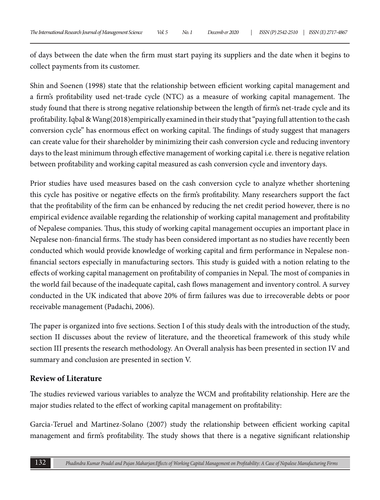of days between the date when the firm must start paying its suppliers and the date when it begins to collect payments from its customer.

Shin and Soenen (1998) state that the relationship between efficient working capital management and a firm's profitability used net-trade cycle (NTC) as a measure of working capital management. The study found that there is strong negative relationship between the length of firm's net-trade cycle and its profitability. Iqbal & Wang(2018)empirically examined in their study that "paying full attention to the cash conversion cycle" has enormous effect on working capital. The findings of study suggest that managers can create value for their shareholder by minimizing their cash conversion cycle and reducing inventory days to the least minimum through effective management of working capital i.e. there is negative relation between profitability and working capital measured as cash conversion cycle and inventory days.

Prior studies have used measures based on the cash conversion cycle to analyze whether shortening this cycle has positive or negative effects on the firm's profitability. Many researchers support the fact that the profitability of the firm can be enhanced by reducing the net credit period however, there is no empirical evidence available regarding the relationship of working capital management and profitability of Nepalese companies. Thus, this study of working capital management occupies an important place in Nepalese non-financial firms. The study has been considered important as no studies have recently been conducted which would provide knowledge of working capital and firm performance in Nepalese nonfinancial sectors especially in manufacturing sectors. This study is guided with a notion relating to the effects of working capital management on profitability of companies in Nepal. The most of companies in the world fail because of the inadequate capital, cash flows management and inventory control. A survey conducted in the UK indicated that above 20% of firm failures was due to irrecoverable debts or poor receivable management (Padachi, 2006).

The paper is organized into five sections. Section I of this study deals with the introduction of the study, section II discusses about the review of literature, and the theoretical framework of this study while section III presents the research methodology. An Overall analysis has been presented in section IV and summary and conclusion are presented in section V.

### **Review of Literature**

The studies reviewed various variables to analyze the WCM and profitability relationship. Here are the major studies related to the effect of working capital management on profitability:

Garcia-Teruel and Martinez-Solano (2007) study the relationship between efficient working capital management and firm's profitability. The study shows that there is a negative significant relationship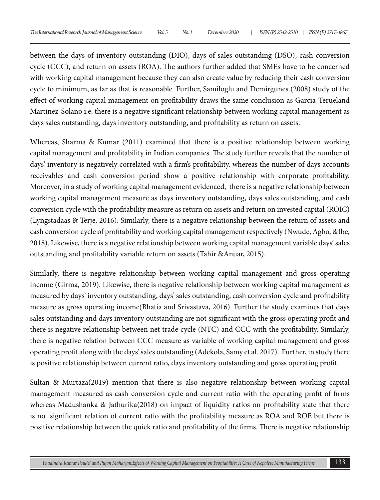between the days of inventory outstanding (DIO), days of sales outstanding (DSO), cash conversion cycle (CCC), and return on assets (ROA). The authors further added that SMEs have to be concerned with working capital management because they can also create value by reducing their cash conversion cycle to minimum, as far as that is reasonable. Further, Samiloglu and Demirgunes (2008) study of the effect of working capital management on profitability draws the same conclusion as Garcia-Terueland Martinez-Solano i.e. there is a negative significant relationship between working capital management as days sales outstanding, days inventory outstanding, and profitability as return on assets.

Whereas, Sharma & Kumar (2011) examined that there is a positive relationship between working capital management and profitability in Indian companies. The study further reveals that the number of days' inventory is negatively correlated with a firm's profitability, whereas the number of days accounts receivables and cash conversion period show a positive relationship with corporate profitability. Moreover, in a study of working capital management evidenced, there is a negative relationship between working capital management measure as days inventory outstanding, days sales outstanding, and cash conversion cycle with the profitability measure as return on assets and return on invested capital (ROIC) (Lyngstadaas & Terje, 2016). Similarly, there is a negative relationship between the return of assets and cash conversion cycle of profitability and working capital management respectively (Nwude, Agbo, &Ibe, 2018). Likewise, there is a negative relationship between working capital management variable days' sales outstanding and profitability variable return on assets (Tahir &Anuar, 2015).

Similarly, there is negative relationship between working capital management and gross operating income (Girma, 2019). Likewise, there is negative relationship between working capital management as measured by days' inventory outstanding, days' sales outstanding, cash conversion cycle and profitability measure as gross operating income(Bhatia and Srivastava, 2016). Further the study examines that days sales outstanding and days inventory outstanding are not significant with the gross operating profit and there is negative relationship between net trade cycle (NTC) and CCC with the profitability. Similarly, there is negative relation between CCC measure as variable of working capital management and gross operating profit along with the days' sales outstanding (Adekola, Samy et al. 2017). Further, in study there is positive relationship between current ratio, days inventory outstanding and gross operating profit.

Sultan & Murtaza(2019) mention that there is also negative relationship between working capital management measured as cash conversion cycle and current ratio with the operating profit of firms whereas Madushanka & Jathurika(2018) on impact of liquidity ratios on profitability state that there is no significant relation of current ratio with the profitability measure as ROA and ROE but there is positive relationship between the quick ratio and profitability of the firms. There is negative relationship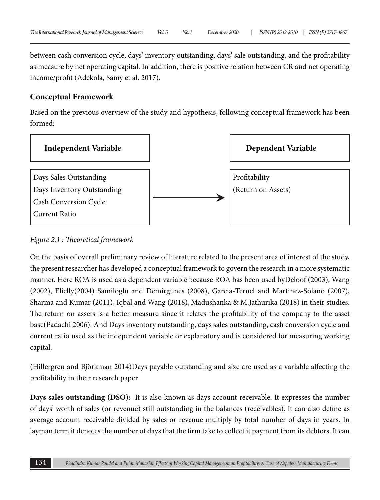between cash conversion cycle, days' inventory outstanding, days' sale outstanding, and the profitability as measure by net operating capital. In addition, there is positive relation between CR and net operating income/profit (Adekola, Samy et al. 2017).

### **Conceptual Framework**

Based on the previous overview of the study and hypothesis, following conceptual framework has been formed:



*Figure 2.1 : Theoretical framework*

On the basis of overall preliminary review of literature related to the present area of interest of the study, the present researcher has developed a conceptual framework to govern the research in a more systematic manner. Here ROA is used as a dependent variable because ROA has been used byDeloof (2003), Wang (2002), Elielly(2004) Samiloglu and Demirgunes (2008), Garcia-Teruel and Martinez-Solano (2007), Sharma and Kumar (2011), Iqbal and Wang (2018), Madushanka & M.Jathurika (2018) in their studies. The return on assets is a better measure since it relates the profitability of the company to the asset base(Padachi 2006). And Days inventory outstanding, days sales outstanding, cash conversion cycle and current ratio used as the independent variable or explanatory and is considered for measuring working capital.

(Hillergren and Björkman 2014)Days payable outstanding and size are used as a variable affecting the profitability in their research paper.

**Days sales outstanding (DSO):** It is also known as days account receivable. It expresses the number of days' worth of sales (or revenue) still outstanding in the balances (receivables). It can also define as average account receivable divided by sales or revenue multiply by total number of days in years. In layman term it denotes the number of days that the firm take to collect it payment from its debtors. It can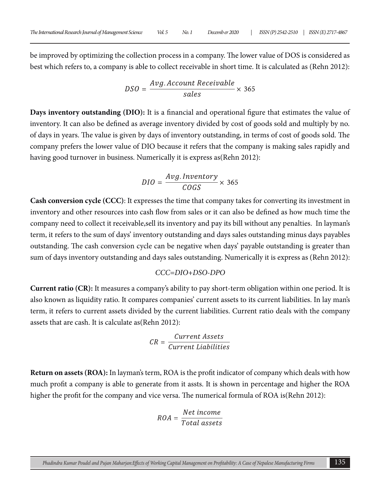be improved by optimizing the collection process in a company. The lower value of DOS is considered as best which refers to, a company is able to collect receivable in short time. It is calculated as (Rehn 2012):

$$
DSO = \frac{Avg.Account\text{ Receivable}}{\text{sales}} \times 365
$$

**Days inventory outstanding (DIO):** It is a financial and operational figure that estimates the value of inventory. It can also be defined as average inventory divided by cost of goods sold and multiply by no. of days in years. The value is given by days of inventory outstanding, in terms of cost of goods sold. The company prefers the lower value of DIO because it refers that the company is making sales rapidly and having good turnover in business. Numerically it is express as(Rehn 2012):

$$
DIO = \frac{Avg.Inventory}{COGS} \times 365
$$

**Cash conversion cycle (CCC)**: It expresses the time that company takes for converting its investment in inventory and other resources into cash flow from sales or it can also be defined as how much time the company need to collect it receivable,sell its inventory and pay its bill without any penalties. In layman's term, it refers to the sum of days' inventory outstanding and days sales outstanding minus days payables outstanding. The cash conversion cycle can be negative when days' payable outstanding is greater than sum of days inventory outstanding and days sales outstanding. Numerically it is express as (Rehn 2012):

#### *CCC=DIO+DSO-DPO*

**Current ratio (CR):** It measures a company's ability to pay short-term obligation within one period. It is also known as liquidity ratio. It compares companies' current assets to its current liabilities. In lay man's term, it refers to current assets divided by the current liabilities. Current ratio deals with the company assets that are cash. It is calculate as(Rehn 2012):

$$
CR = \frac{Current\ Assets}{Current\ Liabilities}
$$

**Return on assets (ROA):** In layman's term, ROA is the profit indicator of company which deals with how much profit a company is able to generate from it assts. It is shown in percentage and higher the ROA higher the profit for the company and vice versa. The numerical formula of ROA is(Rehn 2012):

$$
ROA = \frac{Net\ income}{Total\ assets}
$$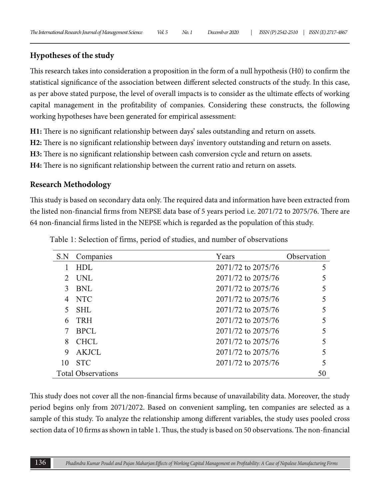# **Hypotheses of the study**

This research takes into consideration a proposition in the form of a null hypothesis (H0) to confirm the statistical significance of the association between different selected constructs of the study. In this case, as per above stated purpose, the level of overall impacts is to consider as the ultimate effects of working capital management in the profitability of companies. Considering these constructs, the following working hypotheses have been generated for empirical assessment:

**H1:** There is no significant relationship between days' sales outstanding and return on assets.

**H2:** There is no significant relationship between days' inventory outstanding and return on assets.

**H3:** There is no significant relationship between cash conversion cycle and return on assets.

**H4:** There is no significant relationship between the current ratio and return on assets.

# **Research Methodology**

This study is based on secondary data only. The required data and information have been extracted from the listed non-financial firms from NEPSE data base of 5 years period i.e. 2071/72 to 2075/76. There are 64 non-financial firms listed in the NEPSE which is regarded as the population of this study.

| S.N | Companies                 | Years              | Observation |
|-----|---------------------------|--------------------|-------------|
|     | HDL                       | 2071/72 to 2075/76 | 5           |
|     | UNL                       | 2071/72 to 2075/76 |             |
| 3   | BNL                       | 2071/72 to 2075/76 |             |
| 4   | <b>NTC</b>                | 2071/72 to 2075/76 |             |
| 5   | SHL                       | 2071/72 to 2075/76 |             |
| 6   | <b>TRH</b>                | 2071/72 to 2075/76 |             |
|     | <b>BPCL</b>               | 2071/72 to 2075/76 |             |
| 8   | <b>CHCL</b>               | 2071/72 to 2075/76 |             |
| 9   | AKJCL                     | 2071/72 to 2075/76 |             |
| 10  | <b>STC</b>                | 2071/72 to 2075/76 |             |
|     | <b>Total Observations</b> |                    | 50          |

Table 1: Selection of firms, period of studies, and number of observations

This study does not cover all the non-financial firms because of unavailability data. Moreover, the study period begins only from 2071/2072. Based on convenient sampling, ten companies are selected as a sample of this study. To analyze the relationship among different variables, the study uses pooled cross section data of 10 firms as shown in table 1. Thus, the study is based on 50 observations. The non-financial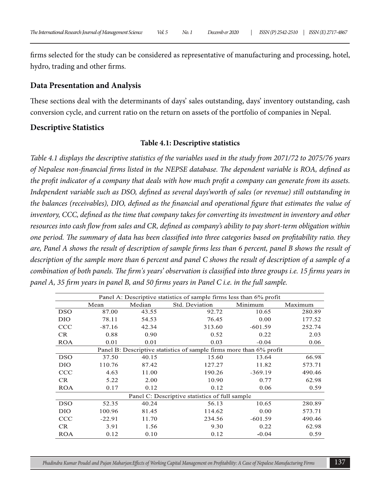firms selected for the study can be considered as representative of manufacturing and processing, hotel, hydro, trading and other firms.

#### **Data Presentation and Analysis**

These sections deal with the determinants of days' sales outstanding, days' inventory outstanding, cash conversion cycle, and current ratio on the return on assets of the portfolio of companies in Nepal.

#### **Descriptive Statistics**

#### **Table 4.1: Descriptive statistics**

*Table 4.1 displays the descriptive statistics of the variables used in the study from 2071/72 to 2075/76 years of Nepalese non-financial firms listed in the NEPSE database. The dependent variable is ROA, defined as the profit indicator of a company that deals with how much profit a company can generate from its assets. Independent variable such as DSO, defined as several days'worth of sales (or revenue) still outstanding in the balances (receivables), DIO, defined as the financial and operational figure that estimates the value of inventory, CCC, defined as the time that company takes for converting its investment in inventory and other resources into cash flow from sales and CR, defined as company's ability to pay short-term obligation within one period. The summary of data has been classified into three categories based on profitability ratio. they are, Panel A shows the result of description of sample firms less than 6 percent, panel B shows the result of description of the sample more than 6 percent and panel C shows the result of description of a sample of a combination of both panels. The firm's years' observation is classified into three groups i.e. 15 firms years in panel A, 35 firm years in panel B, and 50 firms years in Panel C i.e. in the full sample.*

|            | Panel A: Descriptive statistics of sample firms less than 6% profit |       |                                                                     |           |         |  |  |  |
|------------|---------------------------------------------------------------------|-------|---------------------------------------------------------------------|-----------|---------|--|--|--|
|            | Median<br>Mean                                                      |       | Std. Deviation                                                      | Minimum   | Maximum |  |  |  |
| <b>DSO</b> | 87.00                                                               | 43.55 | 92.72                                                               | 10.65     | 280.89  |  |  |  |
| DIO        | 78.11                                                               | 54.53 | 76.45                                                               | 0.00      | 177.52  |  |  |  |
| <b>CCC</b> | $-87.16$                                                            | 42.34 | 313.60                                                              | $-601.59$ | 252.74  |  |  |  |
| CR.        | 0.88                                                                | 0.90  | 0.52                                                                | 0.22      | 2.03    |  |  |  |
| <b>ROA</b> | 0.01                                                                | 0.01  | 0.03                                                                | $-0.04$   | 0.06    |  |  |  |
|            |                                                                     |       | Panel B: Descriptive statistics of sample firms more than 6% profit |           |         |  |  |  |
| DSO        | 37.50                                                               | 40.15 | 15.60                                                               | 13.64     | 66.98   |  |  |  |
| DIO        | 110.76                                                              | 87.42 | 127.27                                                              | 11.82     | 573.71  |  |  |  |
| CCC        | 4.63                                                                | 11.00 | 190.26                                                              | $-369.19$ | 490.46  |  |  |  |
| CR         | 5.22                                                                | 2.00  | 10.90                                                               | 0.77      | 62.98   |  |  |  |
| <b>ROA</b> | 0.17                                                                | 0.12  | 0.12                                                                | 0.06      | 0.59    |  |  |  |
|            |                                                                     |       | Panel C: Descriptive statistics of full sample                      |           |         |  |  |  |
| <b>DSO</b> | 52.35                                                               | 40.24 | 56.13                                                               | 10.65     | 280.89  |  |  |  |
| DIO        | 100.96                                                              | 81.45 | 114.62                                                              | 0.00      | 573.71  |  |  |  |
| <b>CCC</b> | $-22.91$                                                            | 11.70 | 234.56                                                              | $-601.59$ | 490.46  |  |  |  |
| CR         | 3.91                                                                | 1.56  | 9.30                                                                | 0.22      | 62.98   |  |  |  |
| <b>ROA</b> | 0.12                                                                | 0.10  | 0.12                                                                | $-0.04$   | 0.59    |  |  |  |

*Phadindra Kumar Poudel and Pujan Maharjan:Effects of Working Capital Management on Profitability: A Case of Nepalese Manufacturing Firms* 137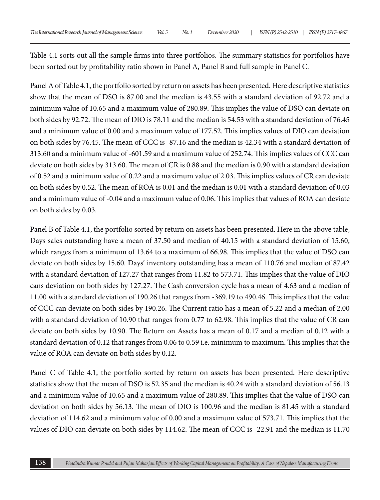Table 4.1 sorts out all the sample firms into three portfolios. The summary statistics for portfolios have been sorted out by profitability ratio shown in Panel A, Panel B and full sample in Panel C.

Panel A of Table 4.1, the portfolio sorted by return on assets has been presented. Here descriptive statistics show that the mean of DSO is 87.00 and the median is 43.55 with a standard deviation of 92.72 and a minimum value of 10.65 and a maximum value of 280.89. This implies the value of DSO can deviate on both sides by 92.72. The mean of DIO is 78.11 and the median is 54.53 with a standard deviation of 76.45 and a minimum value of 0.00 and a maximum value of 177.52. This implies values of DIO can deviation on both sides by 76.45. The mean of CCC is -87.16 and the median is 42.34 with a standard deviation of 313.60 and a minimum value of -601.59 and a maximum value of 252.74. This implies values of CCC can deviate on both sides by 313.60. The mean of CR is 0.88 and the median is 0.90 with a standard deviation of 0.52 and a minimum value of 0.22 and a maximum value of 2.03. This implies values of CR can deviate on both sides by 0.52. The mean of ROA is 0.01 and the median is 0.01 with a standard deviation of 0.03 and a minimum value of -0.04 and a maximum value of 0.06. This implies that values of ROA can deviate on both sides by 0.03.

Panel B of Table 4.1, the portfolio sorted by return on assets has been presented. Here in the above table, Days sales outstanding have a mean of 37.50 and median of 40.15 with a standard deviation of 15.60, which ranges from a minimum of 13.64 to a maximum of 66.98. This implies that the value of DSO can deviate on both sides by 15.60. Days' inventory outstanding has a mean of 110.76 and median of 87.42 with a standard deviation of 127.27 that ranges from 11.82 to 573.71. This implies that the value of DIO cans deviation on both sides by 127.27. The Cash conversion cycle has a mean of 4.63 and a median of 11.00 with a standard deviation of 190.26 that ranges from -369.19 to 490.46. This implies that the value of CCC can deviate on both sides by 190.26. The Current ratio has a mean of 5.22 and a median of 2.00 with a standard deviation of 10.90 that ranges from 0.77 to 62.98. This implies that the value of CR can deviate on both sides by 10.90. The Return on Assets has a mean of 0.17 and a median of 0.12 with a standard deviation of 0.12 that ranges from 0.06 to 0.59 i.e. minimum to maximum. This implies that the value of ROA can deviate on both sides by 0.12.

Panel C of Table 4.1, the portfolio sorted by return on assets has been presented. Here descriptive statistics show that the mean of DSO is 52.35 and the median is 40.24 with a standard deviation of 56.13 and a minimum value of 10.65 and a maximum value of 280.89. This implies that the value of DSO can deviation on both sides by 56.13. The mean of DIO is 100.96 and the median is 81.45 with a standard deviation of 114.62 and a minimum value of 0.00 and a maximum value of 573.71. This implies that the values of DIO can deviate on both sides by 114.62. The mean of CCC is -22.91 and the median is 11.70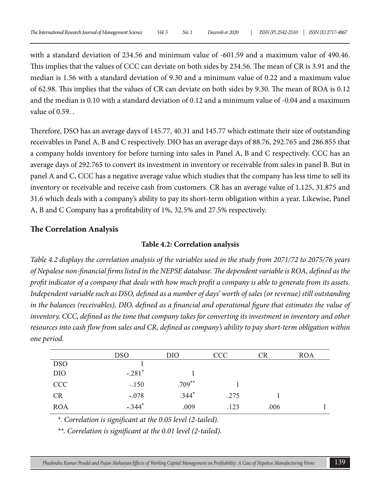with a standard deviation of 234.56 and minimum value of -601.59 and a maximum value of 490.46. This implies that the values of CCC can deviate on both sides by 234.56. The mean of CR is 3.91 and the median is 1.56 with a standard deviation of 9.30 and a minimum value of 0.22 and a maximum value of 62.98. This implies that the values of CR can deviate on both sides by 9.30. The mean of ROA is 0.12 and the median is 0.10 with a standard deviation of 0.12 and a minimum value of -0.04 and a maximum value of 0.59. .

Therefore, DSO has an average days of 145.77, 40.31 and 145.77 which estimate their size of outstanding receivables in Panel A, B and C respectively. DIO has an average days of 88.76, 292.765 and 286.855 that a company holds inventory for before turning into sales in Panel A, B and C respectively. CCC has an average days of 292.765 to convert its investment in inventory or receivable from sales in panel B. But in panel A and C, CCC has a negative average value which studies that the company has less time to sell its inventory or receivable and receive cash from customers. CR has an average value of 1.125, 31.875 and 31.6 which deals with a company's ability to pay its short-term obligation within a year. Likewise, Panel A, B and C Company has a profitability of 1%, 32.5% and 27.5% respectively.

### **The Correlation Analysis**

#### **Table 4.2: Correlation analysis**

*Table 4.2 displays the correlation analysis of the variables used in the study from 2071/72 to 2075/76 years of Nepalese non-financial firms listed in the NEPSE database. The dependent variable is ROA, defined as the profit indicator of a company that deals with how much profit a company is able to generate from its assets. Independent variable such as DSO, defined as a number of days' worth of sales (or revenue) still outstanding in the balances (receivables), DIO, defined as a financial and operational figure that estimates the value of inventory, CCC, defined as the time that company takes for converting its investment in inventory and other resources into cash flow from sales and CR, defined as company's ability to pay short-term obligation within one period.*

|            | <b>DSO</b>           | DIO       | CCC  | CR   | ROA |
|------------|----------------------|-----------|------|------|-----|
| <b>DSO</b> |                      |           |      |      |     |
| DIO        | $-.281$ <sup>*</sup> |           |      |      |     |
| CCC        | $-.150$              | $.709***$ |      |      |     |
| <b>CR</b>  | $-.078$              | $.344*$   | .275 |      |     |
| <b>ROA</b> | $-.344*$             | .009      | .123 | .006 |     |

*\*. Correlation is significant at the 0.05 level (2-tailed).*

*\*\*. Correlation is significant at the 0.01 level (2-tailed).*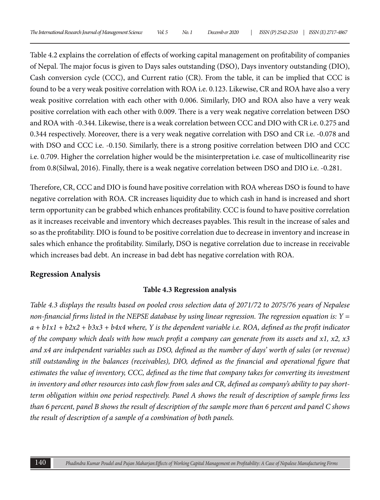Table 4.2 explains the correlation of effects of working capital management on profitability of companies of Nepal. The major focus is given to Days sales outstanding (DSO), Days inventory outstanding (DIO), Cash conversion cycle (CCC), and Current ratio (CR). From the table, it can be implied that CCC is found to be a very weak positive correlation with ROA i.e. 0.123. Likewise, CR and ROA have also a very weak positive correlation with each other with 0.006. Similarly, DIO and ROA also have a very weak positive correlation with each other with 0.009. There is a very weak negative correlation between DSO and ROA with -0.344. Likewise, there is a weak correlation between CCC and DIO with CR i.e. 0.275 and 0.344 respectively. Moreover, there is a very weak negative correlation with DSO and CR i.e. -0.078 and with DSO and CCC i.e. -0.150. Similarly, there is a strong positive correlation between DIO and CCC i.e. 0.709. Higher the correlation higher would be the misinterpretation i.e. case of multicollinearity rise from 0.8(Silwal, 2016). Finally, there is a weak negative correlation between DSO and DIO i.e. -0.281.

Therefore, CR, CCC and DIO is found have positive correlation with ROA whereas DSO is found to have negative correlation with ROA. CR increases liquidity due to which cash in hand is increased and short term opportunity can be grabbed which enhances profitability. CCC is found to have positive correlation as it increases receivable and inventory which decreases payables. This result in the increase of sales and so as the profitability. DIO is found to be positive correlation due to decrease in inventory and increase in sales which enhance the profitability. Similarly, DSO is negative correlation due to increase in receivable which increases bad debt. An increase in bad debt has negative correlation with ROA.

## **Regression Analysis**

## **Table 4.3 Regression analysis**

*Table 4.3 displays the results based on pooled cross selection data of 2071/72 to 2075/76 years of Nepalese non-financial firms listed in the NEPSE database by using linear regression. The regression equation is: Y = a + b1x1 + b2x2 + b3x3 + b4x4 where, Y is the dependent variable i.e. ROA, defined as the profit indicator of the company which deals with how much profit a company can generate from its assets and x1, x2, x3 and x4 are independent variables such as DSO, defined as the number of days' worth of sales (or revenue) still outstanding in the balances (receivables), DIO, defined as the financial and operational figure that estimates the value of inventory, CCC, defined as the time that company takes for converting its investment in inventory and other resources into cash flow from sales and CR, defined as company's ability to pay shortterm obligation within one period respectively. Panel A shows the result of description of sample firms less than 6 percent, panel B shows the result of description of the sample more than 6 percent and panel C shows the result of description of a sample of a combination of both panels.*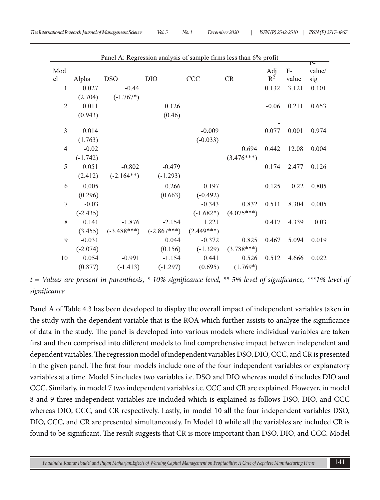| Panel A: Regression analysis of sample firms less than 6% profit |            |               |               |              |              |         |       |              |  |
|------------------------------------------------------------------|------------|---------------|---------------|--------------|--------------|---------|-------|--------------|--|
| Mod                                                              |            |               |               |              |              | Adj     | $F-$  | P-<br>value/ |  |
| el                                                               | Alpha      | <b>DSO</b>    | DIO           | CCC          | <b>CR</b>    | $R^2$   | value | sig          |  |
| 1                                                                | 0.027      | $-0.44$       |               |              |              | 0.132   | 3.121 | 0.101        |  |
|                                                                  | (2.704)    | $(-1.767*)$   |               |              |              |         |       |              |  |
| $\mathfrak{2}$                                                   | 0.011      |               | 0.126         |              |              | $-0.06$ | 0.211 | 0.653        |  |
|                                                                  | (0.943)    |               | (0.46)        |              |              |         |       |              |  |
|                                                                  |            |               |               |              |              |         |       |              |  |
| 3                                                                | 0.014      |               |               | $-0.009$     |              | 0.077   | 0.001 | 0.974        |  |
|                                                                  | (1.763)    |               |               | $(-0.033)$   |              |         |       |              |  |
| $\overline{4}$                                                   | $-0.02$    |               |               |              | 0.694        | 0.442   | 12.08 | 0.004        |  |
|                                                                  | $(-1.742)$ |               |               |              | $(3.476***)$ |         |       |              |  |
| 5                                                                | 0.051      | $-0.802$      | $-0.479$      |              |              | 0.174   | 2.477 | 0.126        |  |
|                                                                  | (2.412)    | $(-2.164**)$  | $(-1.293)$    |              |              |         |       |              |  |
|                                                                  |            |               |               |              |              |         |       |              |  |
| 6                                                                | 0.005      |               | 0.266         | $-0.197$     |              | 0.125   | 0.22  | 0.805        |  |
|                                                                  | (0.296)    |               | (0.663)       | $(-0.492)$   |              |         |       |              |  |
| 7                                                                | $-0.03$    |               |               | $-0.343$     | 0.832        | 0.511   | 8.304 | 0.005        |  |
|                                                                  | $(-2.435)$ |               |               | $(-1.682*)$  | $(4.075***)$ |         |       |              |  |
| 8                                                                | 0.141      | $-1.876$      | $-2.154$      | 1.221        |              | 0.417   | 4.339 | 0.03         |  |
|                                                                  | (3.455)    | $(-3.488***)$ | $(-2.867***)$ | $(2.449***)$ |              |         |       |              |  |
| 9                                                                | $-0.031$   |               | 0.044         | $-0.372$     | 0.825        | 0.467   | 5.094 | 0.019        |  |
|                                                                  | $(-2.074)$ |               | (0.156)       | $(-1.329)$   | $(3.788***)$ |         |       |              |  |
| 10                                                               | 0.054      | $-0.991$      | $-1.154$      | 0.441        | 0.526        | 0.512   | 4.666 | 0.022        |  |
|                                                                  | (0.877)    | $(-1.413)$    | $(-1.297)$    | (0.695)      | $(1.769*)$   |         |       |              |  |

*t = Values are present in parenthesis, \* 10% significance level, \*\* 5% level of significance, \*\*\*1% level of significance*

Panel A of Table 4.3 has been developed to display the overall impact of independent variables taken in the study with the dependent variable that is the ROA which further assists to analyze the significance of data in the study. The panel is developed into various models where individual variables are taken first and then comprised into different models to find comprehensive impact between independent and dependent variables. The regression model of independent variables DSO, DIO, CCC, and CR is presented in the given panel. The first four models include one of the four independent variables or explanatory variables at a time. Model 5 includes two variables i.e. DSO and DIO whereas model 6 includes DIO and CCC. Similarly, in model 7 two independent variables i.e. CCC and CR are explained. However, in model 8 and 9 three independent variables are included which is explained as follows DSO, DIO, and CCC whereas DIO, CCC, and CR respectively. Lastly, in model 10 all the four independent variables DSO, DIO, CCC, and CR are presented simultaneously. In Model 10 while all the variables are included CR is found to be significant. The result suggests that CR is more important than DSO, DIO, and CCC. Model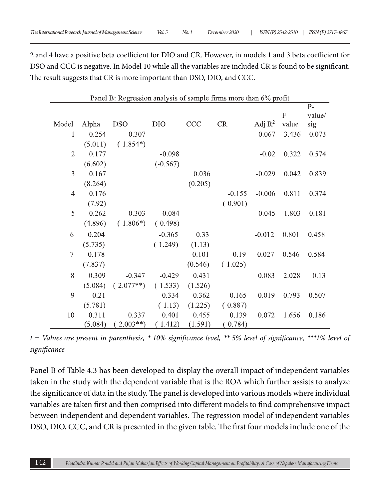2 and 4 have a positive beta coefficient for DIO and CR. However, in models 1 and 3 beta coefficient for DSO and CCC is negative. In Model 10 while all the variables are included CR is found to be significant. The result suggests that CR is more important than DSO, DIO, and CCC.

| Panel B: Regression analysis of sample firms more than 6% profit |         |              |            |         |            |           |       |        |  |  |
|------------------------------------------------------------------|---------|--------------|------------|---------|------------|-----------|-------|--------|--|--|
|                                                                  |         |              |            |         |            |           |       | $P-$   |  |  |
|                                                                  |         |              |            |         |            |           | $F-$  | value/ |  |  |
| Model                                                            | Alpha   | <b>DSO</b>   | DIO        | CCC     | CR         | Adj $R^2$ | value | sig    |  |  |
| 1                                                                | 0.254   | $-0.307$     |            |         |            | 0.067     | 3.436 | 0.073  |  |  |
|                                                                  | (5.011) | $(-1.854*)$  |            |         |            |           |       |        |  |  |
| $\mathfrak{2}$                                                   | 0.177   |              | $-0.098$   |         |            | $-0.02$   | 0.322 | 0.574  |  |  |
|                                                                  | (6.602) |              | $(-0.567)$ |         |            |           |       |        |  |  |
| 3                                                                | 0.167   |              |            | 0.036   |            | $-0.029$  | 0.042 | 0.839  |  |  |
|                                                                  | (8.264) |              |            | (0.205) |            |           |       |        |  |  |
| $\overline{4}$                                                   | 0.176   |              |            |         | $-0.155$   | $-0.006$  | 0.811 | 0.374  |  |  |
|                                                                  | (7.92)  |              |            |         | $(-0.901)$ |           |       |        |  |  |
| 5                                                                | 0.262   | $-0.303$     | $-0.084$   |         |            | 0.045     | 1.803 | 0.181  |  |  |
|                                                                  | (4.896) | $(-1.806*)$  | $(-0.498)$ |         |            |           |       |        |  |  |
| 6                                                                | 0.204   |              | $-0.365$   | 0.33    |            | $-0.012$  | 0.801 | 0.458  |  |  |
|                                                                  | (5.735) |              | $(-1.249)$ | (1.13)  |            |           |       |        |  |  |
| 7                                                                | 0.178   |              |            | 0.101   | $-0.19$    | $-0.027$  | 0.546 | 0.584  |  |  |
|                                                                  | (7.837) |              |            | (0.546) | $(-1.025)$ |           |       |        |  |  |
| 8                                                                | 0.309   | $-0.347$     | $-0.429$   | 0.431   |            | 0.083     | 2.028 | 0.13   |  |  |
|                                                                  | (5.084) | $(-2.077**)$ | $(-1.533)$ | (1.526) |            |           |       |        |  |  |
| 9                                                                | 0.21    |              | $-0.334$   | 0.362   | $-0.165$   | $-0.019$  | 0.793 | 0.507  |  |  |
|                                                                  | (5.781) |              | $(-1.13)$  | (1.225) | $(-0.887)$ |           |       |        |  |  |
| 10                                                               | 0.311   | $-0.337$     | $-0.401$   | 0.455   | $-0.139$   | 0.072     | 1.656 | 0.186  |  |  |
|                                                                  | (5.084) | $(-2.003**)$ | $(-1.412)$ | (1.591) | $(-0.784)$ |           |       |        |  |  |

*t = Values are present in parenthesis, \* 10% significance level, \*\* 5% level of significance, \*\*\*1% level of significance*

Panel B of Table 4.3 has been developed to display the overall impact of independent variables taken in the study with the dependent variable that is the ROA which further assists to analyze the significance of data in the study. The panel is developed into various models where individual variables are taken first and then comprised into different models to find comprehensive impact between independent and dependent variables. The regression model of independent variables DSO, DIO, CCC, and CR is presented in the given table. The first four models include one of the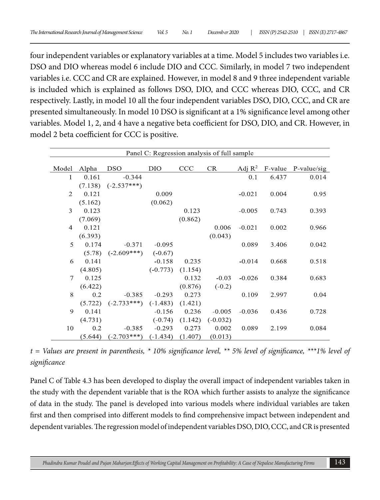four independent variables or explanatory variables at a time. Model 5 includes two variables i.e. DSO and DIO whereas model 6 include DIO and CCC. Similarly, in model 7 two independent variables i.e. CCC and CR are explained. However, in model 8 and 9 three independent variable is included which is explained as follows DSO, DIO, and CCC whereas DIO, CCC, and CR respectively. Lastly, in model 10 all the four independent variables DSO, DIO, CCC, and CR are presented simultaneously. In model 10 DSO is significant at a 1% significance level among other variables. Model 1, 2, and 4 have a negative beta coefficient for DSO, DIO, and CR. However, in model 2 beta coefficient for CCC is positive.

| Panel C: Regression analysis of full sample |         |               |            |         |            |                    |         |               |
|---------------------------------------------|---------|---------------|------------|---------|------------|--------------------|---------|---------------|
|                                             |         |               |            |         |            |                    |         |               |
| Model                                       | Alpha   | <b>DSO</b>    | <b>DIO</b> | CCC     | CR         | Adj $\mathbb{R}^2$ | F-value | $P-value/sig$ |
| 1                                           | 0.161   | $-0.344$      |            |         |            | 0.1                | 6.437   | 0.014         |
|                                             | (7.138) | $(-2.537***)$ |            |         |            |                    |         |               |
| 2                                           | 0.121   |               | 0.009      |         |            | $-0.021$           | 0.004   | 0.95          |
|                                             | (5.162) |               | (0.062)    |         |            |                    |         |               |
| 3                                           | 0.123   |               |            | 0.123   |            | $-0.005$           | 0.743   | 0.393         |
|                                             | (7.069) |               |            | (0.862) |            |                    |         |               |
| $\overline{4}$                              | 0.121   |               |            |         | 0.006      | $-0.021$           | 0.002   | 0.966         |
|                                             | (6.393) |               |            |         | (0.043)    |                    |         |               |
| 5                                           | 0.174   | $-0.371$      | $-0.095$   |         |            | 0.089              | 3.406   | 0.042         |
|                                             | (5.78)  | $(-2.609***)$ | $(-0.67)$  |         |            |                    |         |               |
| 6                                           | 0.141   |               | $-0.158$   | 0.235   |            | $-0.014$           | 0.668   | 0.518         |
|                                             | (4.805) |               | $(-0.773)$ | (1.154) |            |                    |         |               |
| $\tau$                                      | 0.125   |               |            | 0.132   | $-0.03$    | $-0.026$           | 0.384   | 0.683         |
|                                             | (6.422) |               |            | (0.876) | $(-0.2)$   |                    |         |               |
| 8                                           | 0.2     | $-0.385$      | $-0.293$   | 0.273   |            | 0.109              | 2.997   | 0.04          |
|                                             | (5.722) | $(-2.733***)$ | $(-1.483)$ | (1.421) |            |                    |         |               |
| 9                                           | 0.141   |               | $-0.156$   | 0.236   | $-0.005$   | $-0.036$           | 0.436   | 0.728         |
|                                             | (4.731) |               | $(-0.74)$  | (1.142) | $(-0.032)$ |                    |         |               |
| 10                                          | 0.2     | $-0.385$      | $-0.293$   | 0.273   | 0.002      | 0.089              | 2.199   | 0.084         |
|                                             | (5.644) | $(-2.703***)$ | $(-1.434)$ | (1.407) | (0.013)    |                    |         |               |

*t = Values are present in parenthesis, \* 10% significance level, \*\* 5% level of significance, \*\*\*1% level of significance*

Panel C of Table 4.3 has been developed to display the overall impact of independent variables taken in the study with the dependent variable that is the ROA which further assists to analyze the significance of data in the study. The panel is developed into various models where individual variables are taken first and then comprised into different models to find comprehensive impact between independent and dependent variables. The regression model of independent variables DSO, DIO, CCC, and CR is presented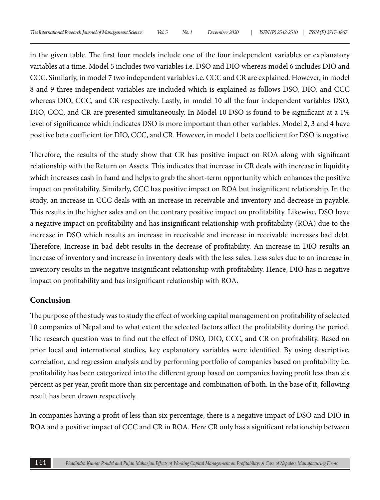in the given table. The first four models include one of the four independent variables or explanatory variables at a time. Model 5 includes two variables i.e. DSO and DIO whereas model 6 includes DIO and CCC. Similarly, in model 7 two independent variables i.e. CCC and CR are explained. However, in model 8 and 9 three independent variables are included which is explained as follows DSO, DIO, and CCC whereas DIO, CCC, and CR respectively. Lastly, in model 10 all the four independent variables DSO, DIO, CCC, and CR are presented simultaneously. In Model 10 DSO is found to be significant at a 1% level of significance which indicates DSO is more important than other variables. Model 2, 3 and 4 have positive beta coefficient for DIO, CCC, and CR. However, in model 1 beta coefficient for DSO is negative.

Therefore, the results of the study show that CR has positive impact on ROA along with significant relationship with the Return on Assets. This indicates that increase in CR deals with increase in liquidity which increases cash in hand and helps to grab the short-term opportunity which enhances the positive impact on profitability. Similarly, CCC has positive impact on ROA but insignificant relationship. In the study, an increase in CCC deals with an increase in receivable and inventory and decrease in payable. This results in the higher sales and on the contrary positive impact on profitability. Likewise, DSO have a negative impact on profitability and has insignificant relationship with profitability (ROA) due to the increase in DSO which results an increase in receivable and increase in receivable increases bad debt. Therefore, Increase in bad debt results in the decrease of profitability. An increase in DIO results an increase of inventory and increase in inventory deals with the less sales. Less sales due to an increase in inventory results in the negative insignificant relationship with profitability. Hence, DIO has n negative impact on profitability and has insignificant relationship with ROA.

## **Conclusion**

The purpose of the study was to study the effect of working capital management on profitability of selected 10 companies of Nepal and to what extent the selected factors affect the profitability during the period. The research question was to find out the effect of DSO, DIO, CCC, and CR on profitability. Based on prior local and international studies, key explanatory variables were identified. By using descriptive, correlation, and regression analysis and by performing portfolio of companies based on profitability i.e. profitability has been categorized into the different group based on companies having profit less than six percent as per year, profit more than six percentage and combination of both. In the base of it, following result has been drawn respectively.

In companies having a profit of less than six percentage, there is a negative impact of DSO and DIO in ROA and a positive impact of CCC and CR in ROA. Here CR only has a significant relationship between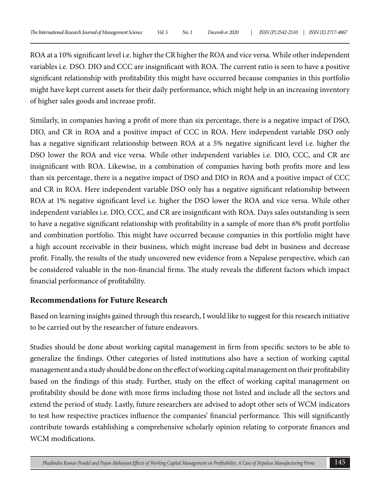ROA at a 10% significant level i.e. higher the CR higher the ROA and vice versa. While other independent variables i.e. DSO. DIO and CCC are insignificant with ROA. The current ratio is seen to have a positive significant relationship with profitability this might have occurred because companies in this portfolio might have kept current assets for their daily performance, which might help in an increasing inventory of higher sales goods and increase profit.

Similarly, in companies having a profit of more than six percentage, there is a negative impact of DSO, DIO, and CR in ROA and a positive impact of CCC in ROA. Here independent variable DSO only has a negative significant relationship between ROA at a 5% negative significant level i.e. higher the DSO lower the ROA and vice versa. While other independent variables i.e. DIO, CCC, and CR are insignificant with ROA. Likewise, in a combination of companies having both profits more and less than six percentage, there is a negative impact of DSO and DIO in ROA and a positive impact of CCC and CR in ROA. Here independent variable DSO only has a negative significant relationship between ROA at 1% negative significant level i.e. higher the DSO lower the ROA and vice versa. While other independent variables i.e. DIO, CCC, and CR are insignificant with ROA. Days sales outstanding is seen to have a negative significant relationship with profitability in a sample of more than 6% profit portfolio and combination portfolio. This might have occurred because companies in this portfolio might have a high account receivable in their business, which might increase bad debt in business and decrease profit. Finally, the results of the study uncovered new evidence from a Nepalese perspective, which can be considered valuable in the non-financial firms. The study reveals the different factors which impact financial performance of profitability.

## **Recommendations for Future Research**

Based on learning insights gained through this research, I would like to suggest for this research initiative to be carried out by the researcher of future endeavors.

Studies should be done about working capital management in firm from specific sectors to be able to generalize the findings. Other categories of listed institutions also have a section of working capital management and a study should be done on the effect of working capital management on their profitability based on the findings of this study. Further, study on the effect of working capital management on profitability should be done with more firms including those not listed and include all the sectors and extend the period of study. Lastly, future researchers are advised to adopt other sets of WCM indicators to test how respective practices influence the companies' financial performance. This will significantly contribute towards establishing a comprehensive scholarly opinion relating to corporate finances and WCM modifications.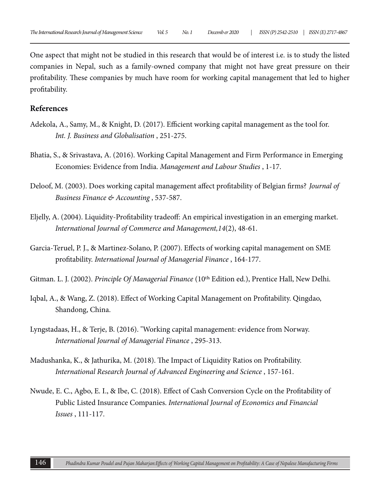One aspect that might not be studied in this research that would be of interest i.e. is to study the listed companies in Nepal, such as a family-owned company that might not have great pressure on their profitability. These companies by much have room for working capital management that led to higher profitability.

### **References**

- Adekola, A., Samy, M., & Knight, D. (2017). Efficient working capital management as the tool for. *Int. J. Business and Globalisation* , 251-275.
- Bhatia, S., & Srivastava, A. (2016). Working Capital Management and Firm Performance in Emerging Economies: Evidence from India. *Management and Labour Studies* , 1-17.
- Deloof, M. (2003). Does working capital management affect profitability of Belgian firms? *Journal of Business Finance & Accounting* , 537-587.
- Eljelly, A. (2004). Liquidity-Profitability tradeoff: An empirical investigation in an emerging market. *International Journal of Commerce and Management,14*(2), 48-61.
- Garcia-Teruel, P. J., & Martinez-Solano, P. (2007). Effects of working capital management on SME profitability. *International Journal of Managerial Finance* , 164-177.
- Gitman. L. J. (2002). *Principle Of Managerial Finance* (10<sup>th</sup> Edition ed.), Prentice Hall, New Delhi.
- Iqbal, A., & Wang, Z. (2018). Effect of Working Capital Management on Profitability. Qingdao, Shandong, China.
- Lyngstadaas, H., & Terje, B. (2016). "Working capital management: evidence from Norway. *International Journal of Managerial Finance* , 295-313.
- Madushanka, K., & Jathurika, M. (2018). The Impact of Liquidity Ratios on Profitability. *International Research Journal of Advanced Engineering and Science* , 157-161.
- Nwude, E. C., Agbo, E. I., & Ibe, C. (2018). Effect of Cash Conversion Cycle on the Profitability of Public Listed Insurance Companies. *International Journal of Economics and Financial Issues* , 111-117.